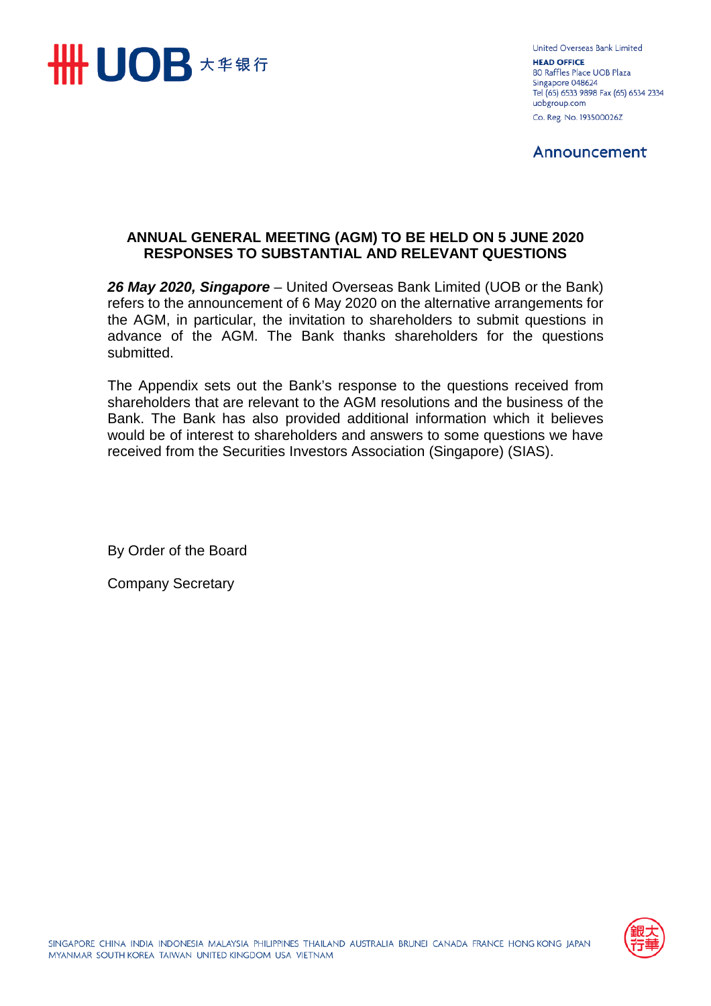

United Overseas Bank Limited **HEAD OFFICE** 80 Raffles Place UOB Plaza Singapore 048624 Tel (65) 6533 9898 Fax (65) 6534 2334 uobgroup.com Co. Reg. No. 193500026Z

Announcement

### **ANNUAL GENERAL MEETING (AGM) TO BE HELD ON 5 JUNE 2020 RESPONSES TO SUBSTANTIAL AND RELEVANT QUESTIONS**

*26 May 2020, Singapore* – United Overseas Bank Limited (UOB or the Bank) refers to the announcement of 6 May 2020 on the alternative arrangements for the AGM, in particular, the invitation to shareholders to submit questions in advance of the AGM. The Bank thanks shareholders for the questions submitted.

The Appendix sets out the Bank's response to the questions received from shareholders that are relevant to the AGM resolutions and the business of the Bank. The Bank has also provided additional information which it believes would be of interest to shareholders and answers to some questions we have received from the Securities Investors Association (Singapore) (SIAS).

By Order of the Board

Company Secretary

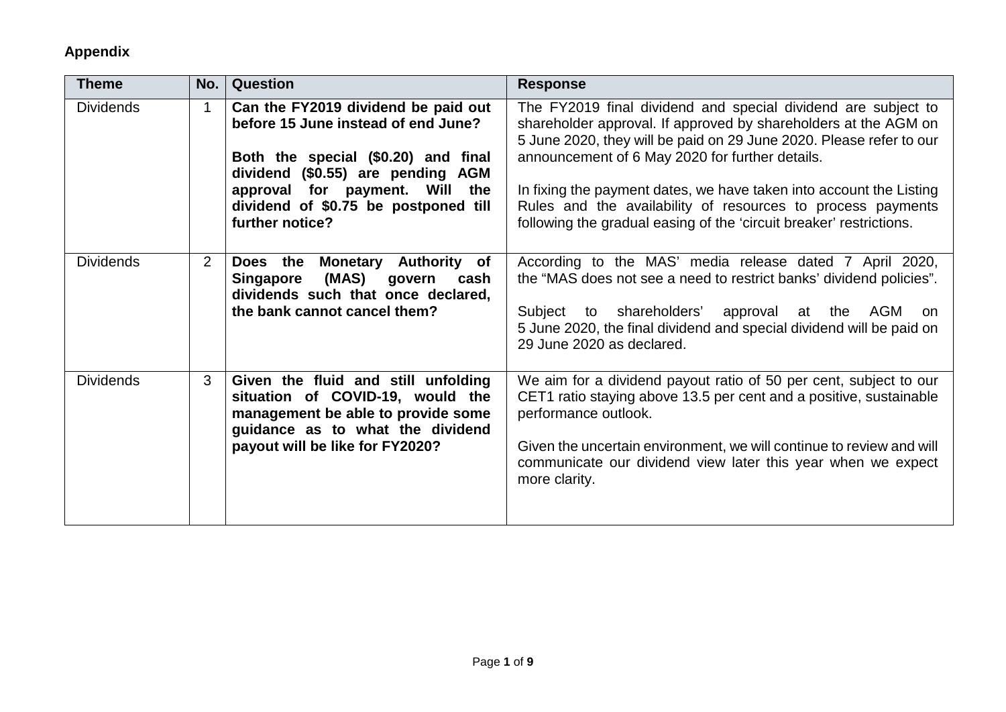| <b>Theme</b>     | No.            | <b>Question</b>                                                                                                                                                                                                                                     | <b>Response</b>                                                                                                                                                                                                                                                                                                                                                                                                                                                         |
|------------------|----------------|-----------------------------------------------------------------------------------------------------------------------------------------------------------------------------------------------------------------------------------------------------|-------------------------------------------------------------------------------------------------------------------------------------------------------------------------------------------------------------------------------------------------------------------------------------------------------------------------------------------------------------------------------------------------------------------------------------------------------------------------|
| <b>Dividends</b> | $\mathbf{1}$   | Can the FY2019 dividend be paid out<br>before 15 June instead of end June?<br>Both the special (\$0.20) and final<br>dividend (\$0.55) are pending AGM<br>approval for payment. Will the<br>dividend of \$0.75 be postponed till<br>further notice? | The FY2019 final dividend and special dividend are subject to<br>shareholder approval. If approved by shareholders at the AGM on<br>5 June 2020, they will be paid on 29 June 2020. Please refer to our<br>announcement of 6 May 2020 for further details.<br>In fixing the payment dates, we have taken into account the Listing<br>Rules and the availability of resources to process payments<br>following the gradual easing of the 'circuit breaker' restrictions. |
| <b>Dividends</b> | $\overline{2}$ | Does the<br>Monetary Authority of<br>Singapore<br>(MAS)<br>govern<br>cash<br>dividends such that once declared,<br>the bank cannot cancel them?                                                                                                     | According to the MAS' media release dated 7 April 2020,<br>the "MAS does not see a need to restrict banks' dividend policies".<br>Subject to shareholders' approval at the AGM on<br>5 June 2020, the final dividend and special dividend will be paid on<br>29 June 2020 as declared.                                                                                                                                                                                  |
| <b>Dividends</b> | 3              | Given the fluid and still unfolding<br>situation of COVID-19, would the<br>management be able to provide some<br>guidance as to what the dividend<br>payout will be like for FY2020?                                                                | We aim for a dividend payout ratio of 50 per cent, subject to our<br>CET1 ratio staying above 13.5 per cent and a positive, sustainable<br>performance outlook.<br>Given the uncertain environment, we will continue to review and will<br>communicate our dividend view later this year when we expect<br>more clarity.                                                                                                                                                |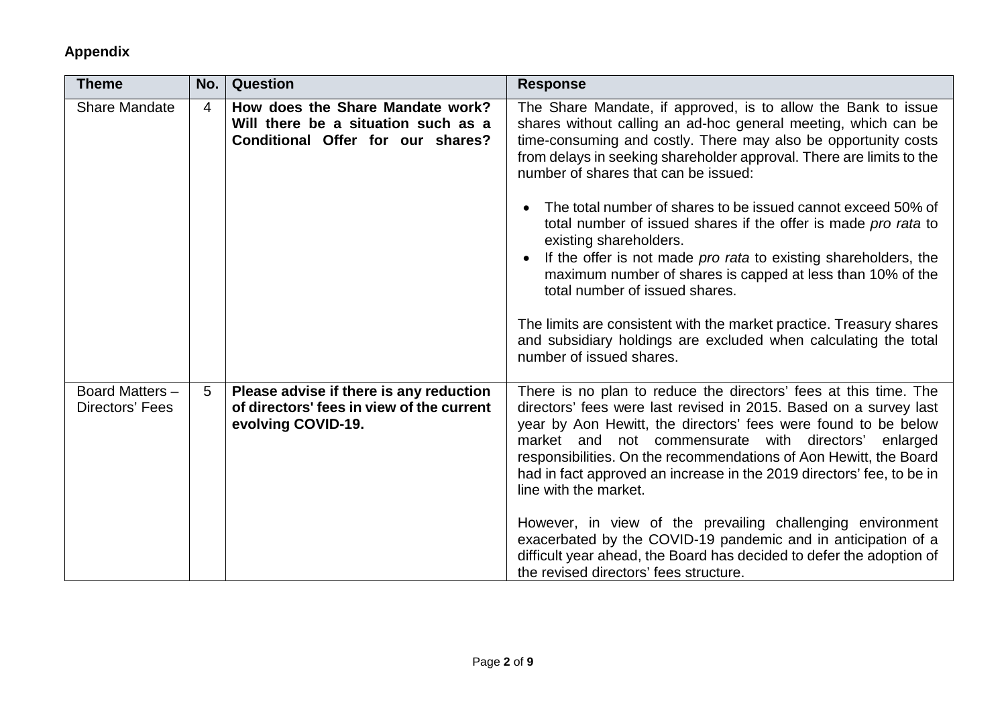| <b>Theme</b>                       | No.            | Question                                                                                                     | <b>Response</b>                                                                                                                                                                                                                                                                                                                                                                                                                           |
|------------------------------------|----------------|--------------------------------------------------------------------------------------------------------------|-------------------------------------------------------------------------------------------------------------------------------------------------------------------------------------------------------------------------------------------------------------------------------------------------------------------------------------------------------------------------------------------------------------------------------------------|
| <b>Share Mandate</b>               | $\overline{4}$ | How does the Share Mandate work?<br>Will there be a situation such as a<br>Conditional Offer for our shares? | The Share Mandate, if approved, is to allow the Bank to issue<br>shares without calling an ad-hoc general meeting, which can be<br>time-consuming and costly. There may also be opportunity costs<br>from delays in seeking shareholder approval. There are limits to the<br>number of shares that can be issued:                                                                                                                         |
|                                    |                |                                                                                                              | The total number of shares to be issued cannot exceed 50% of<br>total number of issued shares if the offer is made pro rata to<br>existing shareholders.<br>If the offer is not made <i>pro rata</i> to existing shareholders, the<br>maximum number of shares is capped at less than 10% of the<br>total number of issued shares.                                                                                                        |
|                                    |                |                                                                                                              | The limits are consistent with the market practice. Treasury shares<br>and subsidiary holdings are excluded when calculating the total<br>number of issued shares.                                                                                                                                                                                                                                                                        |
| Board Matters -<br>Directors' Fees | 5              | Please advise if there is any reduction<br>of directors' fees in view of the current<br>evolving COVID-19.   | There is no plan to reduce the directors' fees at this time. The<br>directors' fees were last revised in 2015. Based on a survey last<br>year by Aon Hewitt, the directors' fees were found to be below<br>market and not commensurate with directors'<br>enlarged<br>responsibilities. On the recommendations of Aon Hewitt, the Board<br>had in fact approved an increase in the 2019 directors' fee, to be in<br>line with the market. |
|                                    |                |                                                                                                              | However, in view of the prevailing challenging environment<br>exacerbated by the COVID-19 pandemic and in anticipation of a<br>difficult year ahead, the Board has decided to defer the adoption of<br>the revised directors' fees structure.                                                                                                                                                                                             |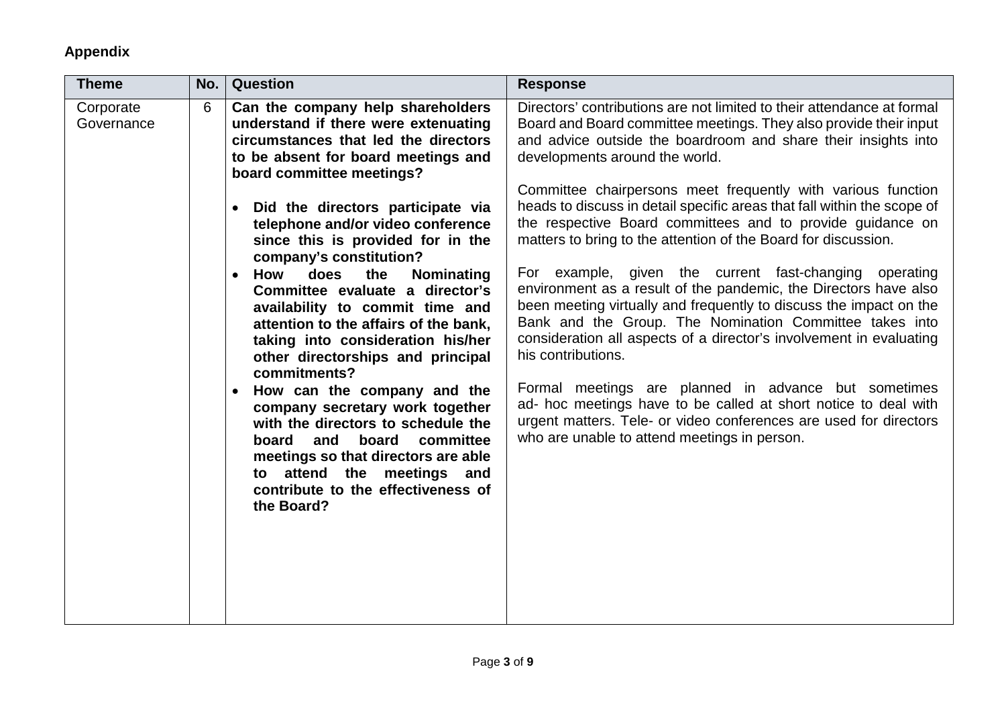| <b>Theme</b>            | No. | <b>Question</b>                                                                                                                                                                                                                                                                                                                                                                                                                                                                                                                                                                                                                                                                          | <b>Response</b>                                                                                                                                                                                                                                                                                                                                                                                                                                                                                                                                                                                                                                                                                                                                                                                                                                                                        |
|-------------------------|-----|------------------------------------------------------------------------------------------------------------------------------------------------------------------------------------------------------------------------------------------------------------------------------------------------------------------------------------------------------------------------------------------------------------------------------------------------------------------------------------------------------------------------------------------------------------------------------------------------------------------------------------------------------------------------------------------|----------------------------------------------------------------------------------------------------------------------------------------------------------------------------------------------------------------------------------------------------------------------------------------------------------------------------------------------------------------------------------------------------------------------------------------------------------------------------------------------------------------------------------------------------------------------------------------------------------------------------------------------------------------------------------------------------------------------------------------------------------------------------------------------------------------------------------------------------------------------------------------|
| Corporate<br>Governance | 6   | Can the company help shareholders<br>understand if there were extenuating<br>circumstances that led the directors<br>to be absent for board meetings and<br>board committee meetings?                                                                                                                                                                                                                                                                                                                                                                                                                                                                                                    | Directors' contributions are not limited to their attendance at formal<br>Board and Board committee meetings. They also provide their input<br>and advice outside the boardroom and share their insights into<br>developments around the world.                                                                                                                                                                                                                                                                                                                                                                                                                                                                                                                                                                                                                                        |
|                         |     | Did the directors participate via<br>$\bullet$<br>telephone and/or video conference<br>since this is provided for in the<br>company's constitution?<br>How<br>does<br>the<br><b>Nominating</b><br>$\bullet$<br>Committee evaluate a director's<br>availability to commit time and<br>attention to the affairs of the bank,<br>taking into consideration his/her<br>other directorships and principal<br>commitments?<br>How can the company and the<br>company secretary work together<br>with the directors to schedule the<br>and<br>board committee<br>board<br>meetings so that directors are able<br>to attend the meetings and<br>contribute to the effectiveness of<br>the Board? | Committee chairpersons meet frequently with various function<br>heads to discuss in detail specific areas that fall within the scope of<br>the respective Board committees and to provide guidance on<br>matters to bring to the attention of the Board for discussion.<br>For example, given the current fast-changing<br>operating<br>environment as a result of the pandemic, the Directors have also<br>been meeting virtually and frequently to discuss the impact on the<br>Bank and the Group. The Nomination Committee takes into<br>consideration all aspects of a director's involvement in evaluating<br>his contributions.<br>Formal meetings are planned in advance but sometimes<br>ad- hoc meetings have to be called at short notice to deal with<br>urgent matters. Tele- or video conferences are used for directors<br>who are unable to attend meetings in person. |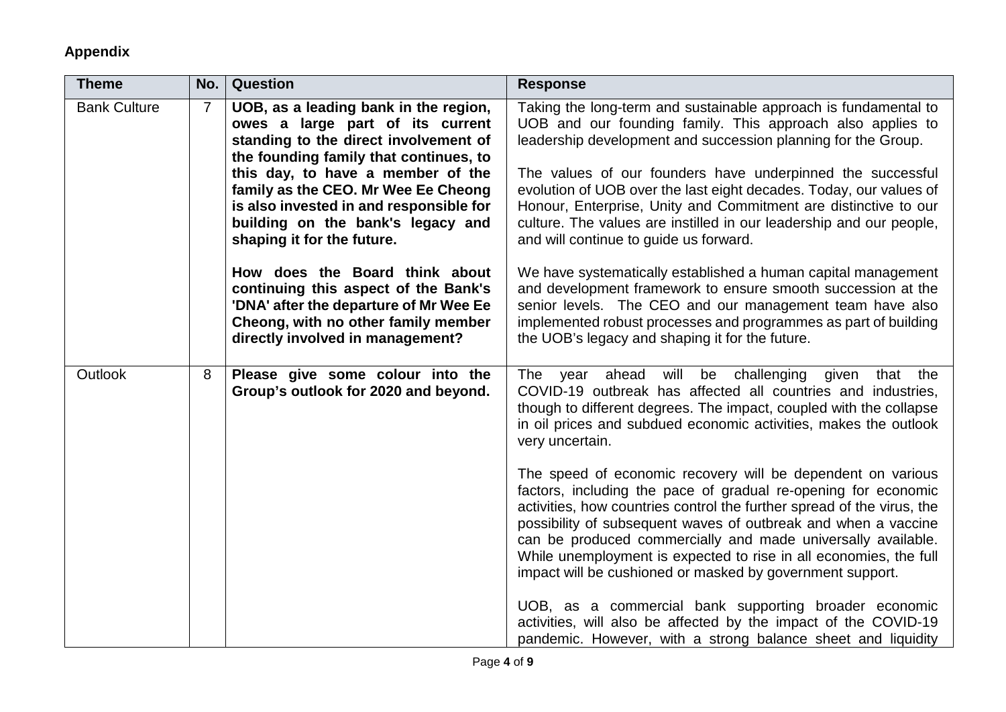| <b>Theme</b>        | No.            | Question                                                                                                                                                                                                                                                                                                                                               | <b>Response</b>                                                                                                                                                                                                                                                                                                                                                                                                                                                                                                        |
|---------------------|----------------|--------------------------------------------------------------------------------------------------------------------------------------------------------------------------------------------------------------------------------------------------------------------------------------------------------------------------------------------------------|------------------------------------------------------------------------------------------------------------------------------------------------------------------------------------------------------------------------------------------------------------------------------------------------------------------------------------------------------------------------------------------------------------------------------------------------------------------------------------------------------------------------|
| <b>Bank Culture</b> | $\overline{7}$ | UOB, as a leading bank in the region,<br>owes a large part of its current<br>standing to the direct involvement of<br>the founding family that continues, to<br>this day, to have a member of the<br>family as the CEO. Mr Wee Ee Cheong<br>is also invested in and responsible for<br>building on the bank's legacy and<br>shaping it for the future. | Taking the long-term and sustainable approach is fundamental to<br>UOB and our founding family. This approach also applies to<br>leadership development and succession planning for the Group.<br>The values of our founders have underpinned the successful<br>evolution of UOB over the last eight decades. Today, our values of<br>Honour, Enterprise, Unity and Commitment are distinctive to our<br>culture. The values are instilled in our leadership and our people,<br>and will continue to guide us forward. |
|                     |                | How does the Board think about<br>continuing this aspect of the Bank's<br>'DNA' after the departure of Mr Wee Ee<br>Cheong, with no other family member<br>directly involved in management?                                                                                                                                                            | We have systematically established a human capital management<br>and development framework to ensure smooth succession at the<br>senior levels. The CEO and our management team have also<br>implemented robust processes and programmes as part of building<br>the UOB's legacy and shaping it for the future.                                                                                                                                                                                                        |
| <b>Outlook</b>      | 8              | Please give some colour into the<br>Group's outlook for 2020 and beyond.                                                                                                                                                                                                                                                                               | The year ahead<br>will be challenging<br>given that the<br>COVID-19 outbreak has affected all countries and industries,<br>though to different degrees. The impact, coupled with the collapse<br>in oil prices and subdued economic activities, makes the outlook<br>very uncertain.                                                                                                                                                                                                                                   |
|                     |                |                                                                                                                                                                                                                                                                                                                                                        | The speed of economic recovery will be dependent on various<br>factors, including the pace of gradual re-opening for economic<br>activities, how countries control the further spread of the virus, the<br>possibility of subsequent waves of outbreak and when a vaccine<br>can be produced commercially and made universally available.<br>While unemployment is expected to rise in all economies, the full<br>impact will be cushioned or masked by government support.                                            |
|                     |                |                                                                                                                                                                                                                                                                                                                                                        | UOB, as a commercial bank supporting broader economic<br>activities, will also be affected by the impact of the COVID-19<br>pandemic. However, with a strong balance sheet and liquidity                                                                                                                                                                                                                                                                                                                               |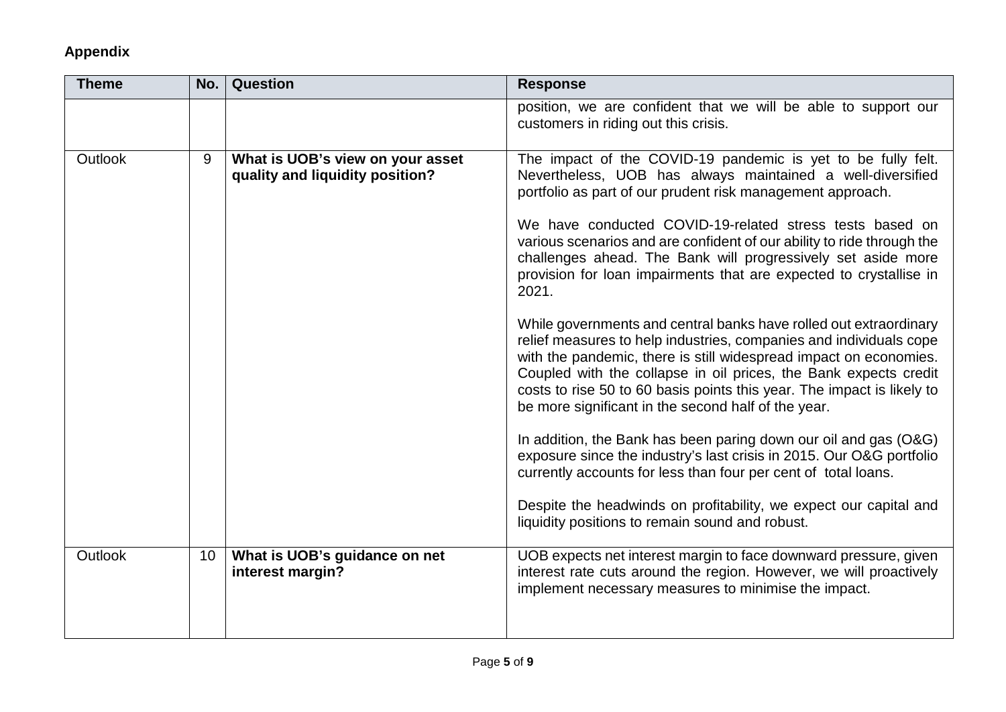| <b>Theme</b> | No.             | <b>Question</b>                                                     | <b>Response</b>                                                                                                                                                                                                                                                                                                                                                                                                   |
|--------------|-----------------|---------------------------------------------------------------------|-------------------------------------------------------------------------------------------------------------------------------------------------------------------------------------------------------------------------------------------------------------------------------------------------------------------------------------------------------------------------------------------------------------------|
|              |                 |                                                                     | position, we are confident that we will be able to support our<br>customers in riding out this crisis.                                                                                                                                                                                                                                                                                                            |
| Outlook      | 9               | What is UOB's view on your asset<br>quality and liquidity position? | The impact of the COVID-19 pandemic is yet to be fully felt.<br>Nevertheless, UOB has always maintained a well-diversified<br>portfolio as part of our prudent risk management approach.                                                                                                                                                                                                                          |
|              |                 |                                                                     | We have conducted COVID-19-related stress tests based on<br>various scenarios and are confident of our ability to ride through the<br>challenges ahead. The Bank will progressively set aside more<br>provision for loan impairments that are expected to crystallise in<br>2021.                                                                                                                                 |
|              |                 |                                                                     | While governments and central banks have rolled out extraordinary<br>relief measures to help industries, companies and individuals cope<br>with the pandemic, there is still widespread impact on economies.<br>Coupled with the collapse in oil prices, the Bank expects credit<br>costs to rise 50 to 60 basis points this year. The impact is likely to<br>be more significant in the second half of the year. |
|              |                 |                                                                     | In addition, the Bank has been paring down our oil and gas (O&G)<br>exposure since the industry's last crisis in 2015. Our O&G portfolio<br>currently accounts for less than four per cent of total loans.                                                                                                                                                                                                        |
|              |                 |                                                                     | Despite the headwinds on profitability, we expect our capital and<br>liquidity positions to remain sound and robust.                                                                                                                                                                                                                                                                                              |
| Outlook      | 10 <sup>°</sup> | What is UOB's guidance on net<br>interest margin?                   | UOB expects net interest margin to face downward pressure, given<br>interest rate cuts around the region. However, we will proactively<br>implement necessary measures to minimise the impact.                                                                                                                                                                                                                    |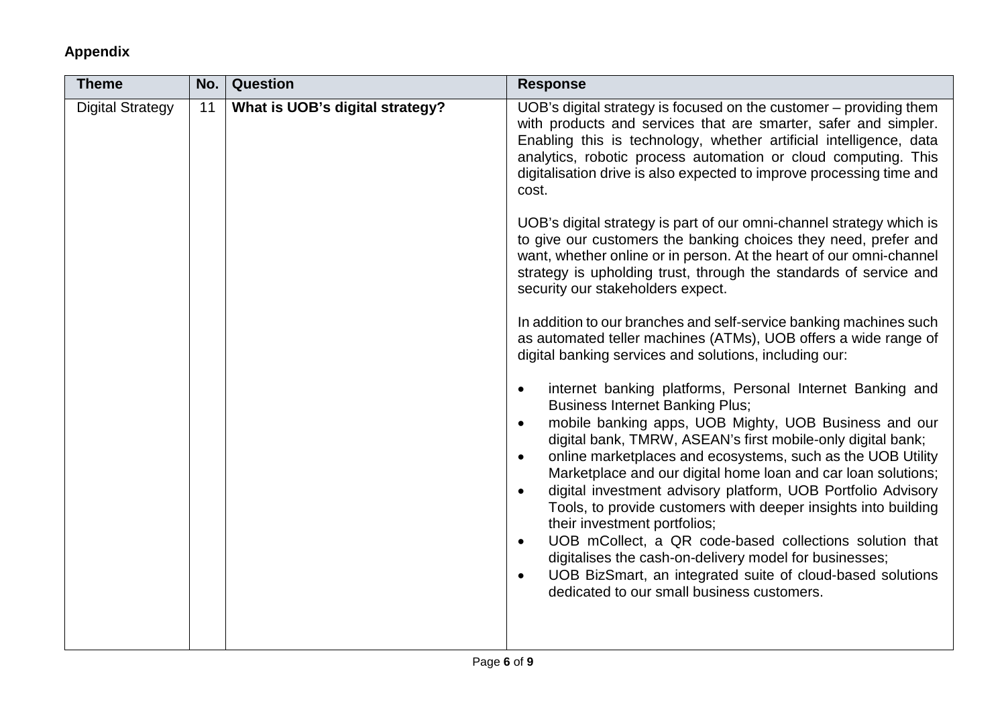| No. | Question                        | <b>Response</b>                                                                                                                                                                                                                                                                                                                                                                                                                                                                                                                                                                                                                                                                                                                                                                                                                              |
|-----|---------------------------------|----------------------------------------------------------------------------------------------------------------------------------------------------------------------------------------------------------------------------------------------------------------------------------------------------------------------------------------------------------------------------------------------------------------------------------------------------------------------------------------------------------------------------------------------------------------------------------------------------------------------------------------------------------------------------------------------------------------------------------------------------------------------------------------------------------------------------------------------|
| 11  | What is UOB's digital strategy? | UOB's digital strategy is focused on the customer – providing them<br>with products and services that are smarter, safer and simpler.<br>Enabling this is technology, whether artificial intelligence, data<br>analytics, robotic process automation or cloud computing. This<br>digitalisation drive is also expected to improve processing time and<br>cost.                                                                                                                                                                                                                                                                                                                                                                                                                                                                               |
|     |                                 | UOB's digital strategy is part of our omni-channel strategy which is<br>to give our customers the banking choices they need, prefer and<br>want, whether online or in person. At the heart of our omni-channel<br>strategy is upholding trust, through the standards of service and<br>security our stakeholders expect.                                                                                                                                                                                                                                                                                                                                                                                                                                                                                                                     |
|     |                                 | In addition to our branches and self-service banking machines such<br>as automated teller machines (ATMs), UOB offers a wide range of<br>digital banking services and solutions, including our:                                                                                                                                                                                                                                                                                                                                                                                                                                                                                                                                                                                                                                              |
|     |                                 | internet banking platforms, Personal Internet Banking and<br>$\bullet$<br><b>Business Internet Banking Plus;</b><br>mobile banking apps, UOB Mighty, UOB Business and our<br>$\bullet$<br>digital bank, TMRW, ASEAN's first mobile-only digital bank;<br>online marketplaces and ecosystems, such as the UOB Utility<br>$\bullet$<br>Marketplace and our digital home loan and car loan solutions;<br>digital investment advisory platform, UOB Portfolio Advisory<br>$\bullet$<br>Tools, to provide customers with deeper insights into building<br>their investment portfolios;<br>UOB mCollect, a QR code-based collections solution that<br>$\bullet$<br>digitalises the cash-on-delivery model for businesses;<br>UOB BizSmart, an integrated suite of cloud-based solutions<br>$\bullet$<br>dedicated to our small business customers. |
|     |                                 |                                                                                                                                                                                                                                                                                                                                                                                                                                                                                                                                                                                                                                                                                                                                                                                                                                              |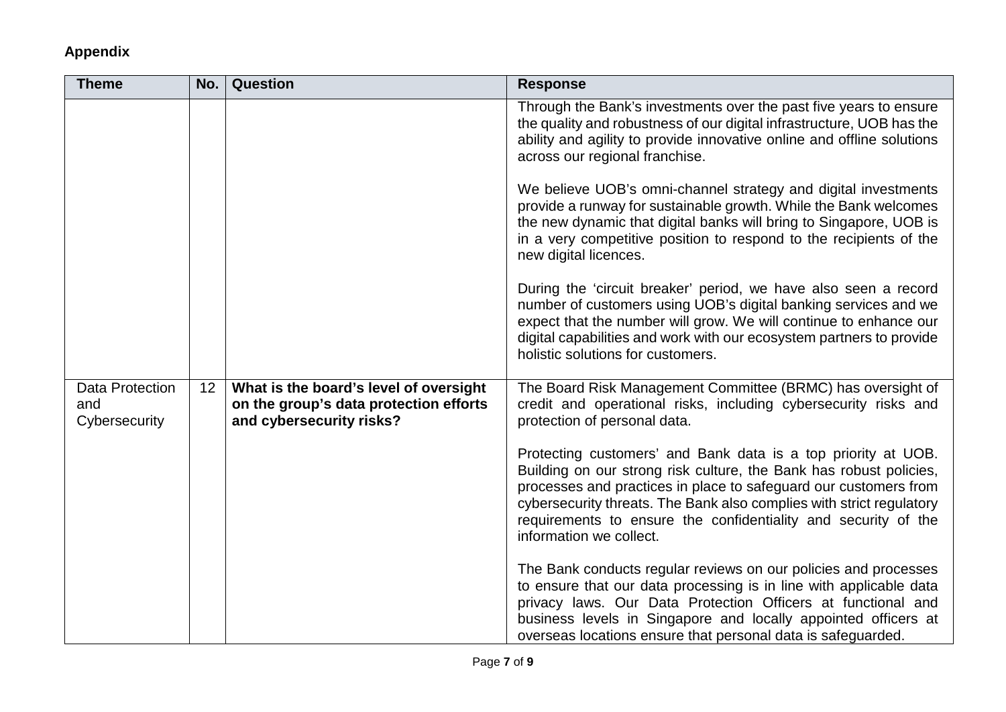| <b>Theme</b>                            | No. | <b>Question</b>                                                                                              | <b>Response</b>                                                                                                                                                                                                                                                                                                                                                              |
|-----------------------------------------|-----|--------------------------------------------------------------------------------------------------------------|------------------------------------------------------------------------------------------------------------------------------------------------------------------------------------------------------------------------------------------------------------------------------------------------------------------------------------------------------------------------------|
|                                         |     |                                                                                                              | Through the Bank's investments over the past five years to ensure<br>the quality and robustness of our digital infrastructure, UOB has the<br>ability and agility to provide innovative online and offline solutions<br>across our regional franchise.                                                                                                                       |
|                                         |     |                                                                                                              | We believe UOB's omni-channel strategy and digital investments<br>provide a runway for sustainable growth. While the Bank welcomes<br>the new dynamic that digital banks will bring to Singapore, UOB is<br>in a very competitive position to respond to the recipients of the<br>new digital licences.                                                                      |
|                                         |     |                                                                                                              | During the 'circuit breaker' period, we have also seen a record<br>number of customers using UOB's digital banking services and we<br>expect that the number will grow. We will continue to enhance our<br>digital capabilities and work with our ecosystem partners to provide<br>holistic solutions for customers.                                                         |
| Data Protection<br>and<br>Cybersecurity | 12  | What is the board's level of oversight<br>on the group's data protection efforts<br>and cybersecurity risks? | The Board Risk Management Committee (BRMC) has oversight of<br>credit and operational risks, including cybersecurity risks and<br>protection of personal data.                                                                                                                                                                                                               |
|                                         |     |                                                                                                              | Protecting customers' and Bank data is a top priority at UOB.<br>Building on our strong risk culture, the Bank has robust policies,<br>processes and practices in place to safeguard our customers from<br>cybersecurity threats. The Bank also complies with strict regulatory<br>requirements to ensure the confidentiality and security of the<br>information we collect. |
|                                         |     |                                                                                                              | The Bank conducts regular reviews on our policies and processes<br>to ensure that our data processing is in line with applicable data<br>privacy laws. Our Data Protection Officers at functional and<br>business levels in Singapore and locally appointed officers at<br>overseas locations ensure that personal data is safeguarded.                                      |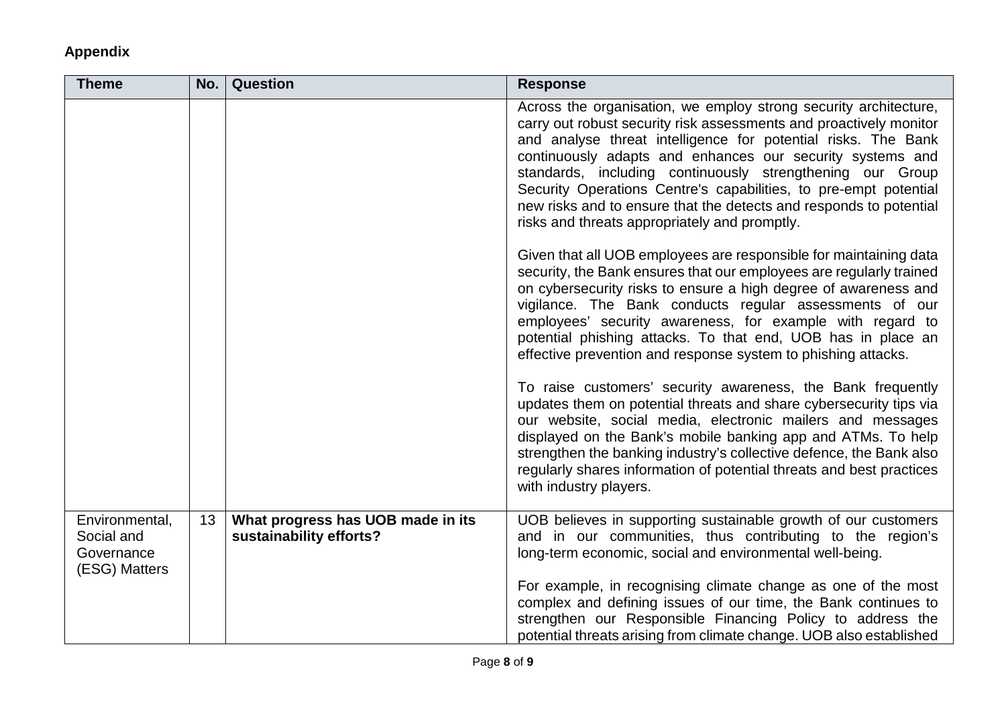| <b>Theme</b>                                                | No. | <b>Question</b>                                              | <b>Response</b>                                                                                                                                                                                                                                                                                                                                                                                                                                                                                                              |
|-------------------------------------------------------------|-----|--------------------------------------------------------------|------------------------------------------------------------------------------------------------------------------------------------------------------------------------------------------------------------------------------------------------------------------------------------------------------------------------------------------------------------------------------------------------------------------------------------------------------------------------------------------------------------------------------|
|                                                             |     |                                                              | Across the organisation, we employ strong security architecture,<br>carry out robust security risk assessments and proactively monitor<br>and analyse threat intelligence for potential risks. The Bank<br>continuously adapts and enhances our security systems and<br>standards, including continuously strengthening our Group<br>Security Operations Centre's capabilities, to pre-empt potential<br>new risks and to ensure that the detects and responds to potential<br>risks and threats appropriately and promptly. |
|                                                             |     |                                                              | Given that all UOB employees are responsible for maintaining data<br>security, the Bank ensures that our employees are regularly trained<br>on cybersecurity risks to ensure a high degree of awareness and<br>vigilance. The Bank conducts regular assessments of our<br>employees' security awareness, for example with regard to<br>potential phishing attacks. To that end, UOB has in place an<br>effective prevention and response system to phishing attacks.                                                         |
|                                                             |     |                                                              | To raise customers' security awareness, the Bank frequently<br>updates them on potential threats and share cybersecurity tips via<br>our website, social media, electronic mailers and messages<br>displayed on the Bank's mobile banking app and ATMs. To help<br>strengthen the banking industry's collective defence, the Bank also<br>regularly shares information of potential threats and best practices<br>with industry players.                                                                                     |
| Environmental,<br>Social and<br>Governance<br>(ESG) Matters | 13  | What progress has UOB made in its<br>sustainability efforts? | UOB believes in supporting sustainable growth of our customers<br>and in our communities, thus contributing to the region's<br>long-term economic, social and environmental well-being.                                                                                                                                                                                                                                                                                                                                      |
|                                                             |     |                                                              | For example, in recognising climate change as one of the most<br>complex and defining issues of our time, the Bank continues to<br>strengthen our Responsible Financing Policy to address the<br>potential threats arising from climate change. UOB also established                                                                                                                                                                                                                                                         |